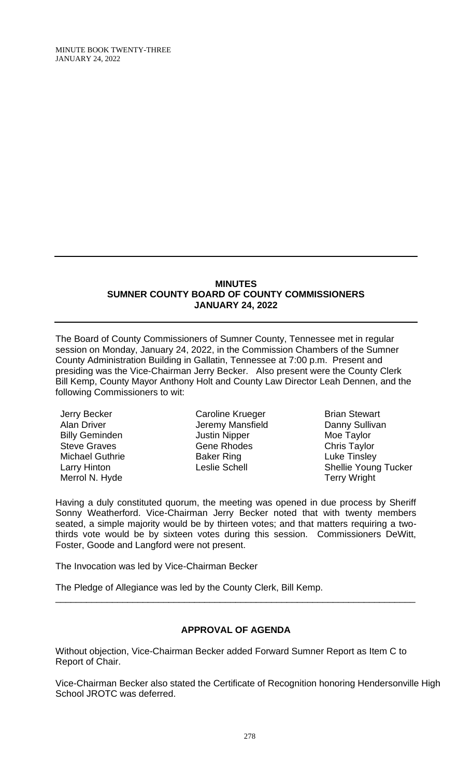#### **MINUTES SUMNER COUNTY BOARD OF COUNTY COMMISSIONERS JANUARY 24, 2022**

The Board of County Commissioners of Sumner County, Tennessee met in regular session on Monday, January 24, 2022, in the Commission Chambers of the Sumner County Administration Building in Gallatin, Tennessee at 7:00 p.m. Present and presiding was the Vice-Chairman Jerry Becker. Also present were the County Clerk Bill Kemp, County Mayor Anthony Holt and County Law Director Leah Dennen, and the following Commissioners to wit:

Jerry Becker Alan Driver Billy Geminden Steve Graves Michael Guthrie Larry Hinton Merrol N. Hyde

Caroline Krueger Jeremy Mansfield Justin Nipper Gene Rhodes Baker Ring Leslie Schell

Brian Stewart Danny Sullivan Moe Taylor Chris Taylor Luke Tinsley Shellie Young Tucker Terry Wright

Having a duly constituted quorum, the meeting was opened in due process by Sheriff Sonny Weatherford. Vice-Chairman Jerry Becker noted that with twenty members seated, a simple majority would be by thirteen votes; and that matters requiring a twothirds vote would be by sixteen votes during this session. Commissioners DeWitt, Foster, Goode and Langford were not present.

The Invocation was led by Vice-Chairman Becker

The Pledge of Allegiance was led by the County Clerk, Bill Kemp.

# **APPROVAL OF AGENDA**

\_\_\_\_\_\_\_\_\_\_\_\_\_\_\_\_\_\_\_\_\_\_\_\_\_\_\_\_\_\_\_\_\_\_\_\_\_\_\_\_\_\_\_\_\_\_\_\_\_\_\_\_\_\_\_\_\_\_\_\_\_\_\_\_\_\_\_\_\_\_

Without objection, Vice-Chairman Becker added Forward Sumner Report as Item C to Report of Chair.

Vice-Chairman Becker also stated the Certificate of Recognition honoring Hendersonville High School JROTC was deferred.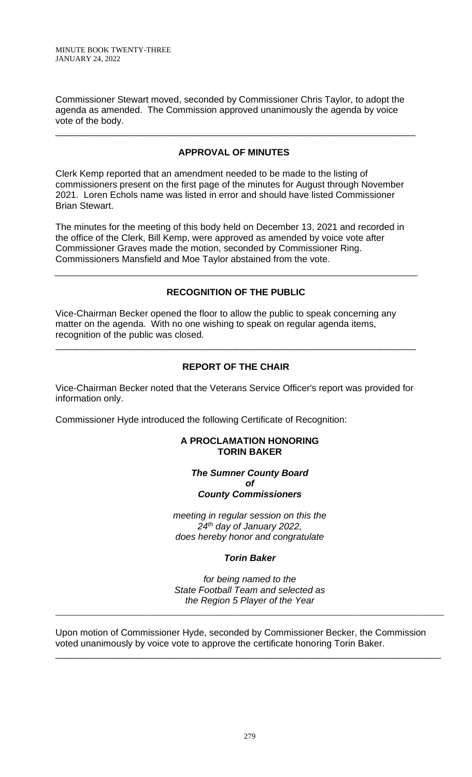Commissioner Stewart moved, seconded by Commissioner Chris Taylor, to adopt the agenda as amended. The Commission approved unanimously the agenda by voice vote of the body.

# **APPROVAL OF MINUTES**

\_\_\_\_\_\_\_\_\_\_\_\_\_\_\_\_\_\_\_\_\_\_\_\_\_\_\_\_\_\_\_\_\_\_\_\_\_\_\_\_\_\_\_\_\_\_\_\_\_\_\_\_\_\_\_\_\_\_\_\_\_\_\_\_\_\_\_\_\_\_

Clerk Kemp reported that an amendment needed to be made to the listing of commissioners present on the first page of the minutes for August through November 2021. Loren Echols name was listed in error and should have listed Commissioner Brian Stewart.

The minutes for the meeting of this body held on December 13, 2021 and recorded in the office of the Clerk, Bill Kemp, were approved as amended by voice vote after Commissioner Graves made the motion, seconded by Commissioner Ring. Commissioners Mansfield and Moe Taylor abstained from the vote.

# **RECOGNITION OF THE PUBLIC**

Vice-Chairman Becker opened the floor to allow the public to speak concerning any matter on the agenda. With no one wishing to speak on regular agenda items, recognition of the public was closed.

# **REPORT OF THE CHAIR**

\_\_\_\_\_\_\_\_\_\_\_\_\_\_\_\_\_\_\_\_\_\_\_\_\_\_\_\_\_\_\_\_\_\_\_\_\_\_\_\_\_\_\_\_\_\_\_\_\_\_\_\_\_\_\_\_\_\_\_\_\_\_\_\_\_\_\_\_\_\_

Vice-Chairman Becker noted that the Veterans Service Officer's report was provided for information only.

Commissioner Hyde introduced the following Certificate of Recognition:

#### **A PROCLAMATION HONORING TORIN BAKER**

### *The Sumner County Board of County Commissioners*

*meeting in regular session on this the 24th day of January 2022, does hereby honor and congratulate*

# *Torin Baker*

*for being named to the State Football Team and selected as the Region 5 Player of the Year*

\_\_\_\_\_\_\_\_\_\_\_\_\_\_\_\_\_\_\_\_\_\_\_\_\_\_\_\_\_\_\_\_\_\_\_\_\_\_\_\_\_\_\_\_\_\_\_\_\_\_\_\_\_\_\_\_\_\_\_\_\_\_\_\_\_\_\_\_\_\_\_\_\_\_\_\_\_\_\_\_\_\_\_\_

Upon motion of Commissioner Hyde, seconded by Commissioner Becker, the Commission voted unanimously by voice vote to approve the certificate honoring Torin Baker.

\_\_\_\_\_\_\_\_\_\_\_\_\_\_\_\_\_\_\_\_\_\_\_\_\_\_\_\_\_\_\_\_\_\_\_\_\_\_\_\_\_\_\_\_\_\_\_\_\_\_\_\_\_\_\_\_\_\_\_\_\_\_\_\_\_\_\_\_\_\_\_\_\_\_\_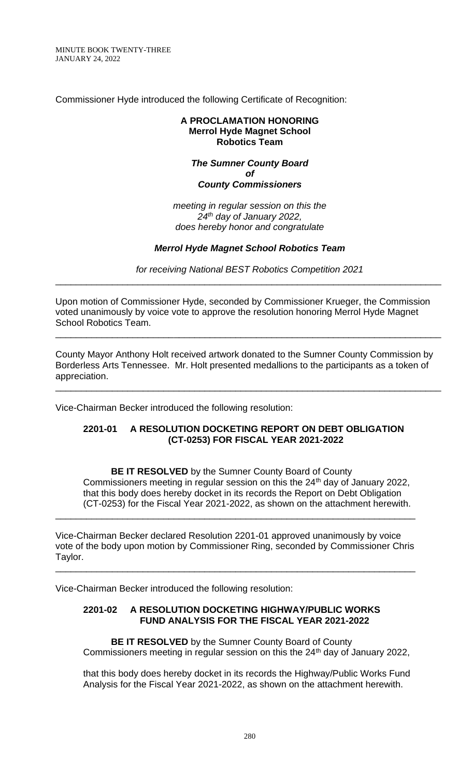MINUTE BOOK TWENTY-THREE JANUARY 24, 2022

Commissioner Hyde introduced the following Certificate of Recognition:

#### **A PROCLAMATION HONORING Merrol Hyde Magnet School Robotics Team**

## *The Sumner County Board of County Commissioners*

*meeting in regular session on this the 24th day of January 2022, does hereby honor and congratulate*

# *Merrol Hyde Magnet School Robotics Team*

*for receiving National BEST Robotics Competition 2021* \_\_\_\_\_\_\_\_\_\_\_\_\_\_\_\_\_\_\_\_\_\_\_\_\_\_\_\_\_\_\_\_\_\_\_\_\_\_\_\_\_\_\_\_\_\_\_\_\_\_\_\_\_\_\_\_\_\_\_\_\_\_\_\_\_\_\_\_\_\_\_\_\_\_\_

Upon motion of Commissioner Hyde, seconded by Commissioner Krueger, the Commission voted unanimously by voice vote to approve the resolution honoring Merrol Hyde Magnet School Robotics Team. \_\_\_\_\_\_\_\_\_\_\_\_\_\_\_\_\_\_\_\_\_\_\_\_\_\_\_\_\_\_\_\_\_\_\_\_\_\_\_\_\_\_\_\_\_\_\_\_\_\_\_\_\_\_\_\_\_\_\_\_\_\_\_\_\_\_\_\_\_\_\_\_\_\_\_

County Mayor Anthony Holt received artwork donated to the Sumner County Commission by Borderless Arts Tennessee. Mr. Holt presented medallions to the participants as a token of appreciation.

\_\_\_\_\_\_\_\_\_\_\_\_\_\_\_\_\_\_\_\_\_\_\_\_\_\_\_\_\_\_\_\_\_\_\_\_\_\_\_\_\_\_\_\_\_\_\_\_\_\_\_\_\_\_\_\_\_\_\_\_\_\_\_\_\_\_\_\_\_\_\_\_\_\_\_

Vice-Chairman Becker introduced the following resolution:

### **2201-01 A RESOLUTION DOCKETING REPORT ON DEBT OBLIGATION (CT-0253) FOR FISCAL YEAR 2021-2022**

**BE IT RESOLVED** by the Sumner County Board of County Commissioners meeting in regular session on this the 24<sup>th</sup> day of January 2022, that this body does hereby docket in its records the Report on Debt Obligation (CT-0253) for the Fiscal Year 2021-2022, as shown on the attachment herewith.

Vice-Chairman Becker declared Resolution 2201-01 approved unanimously by voice vote of the body upon motion by Commissioner Ring, seconded by Commissioner Chris Taylor.

\_\_\_\_\_\_\_\_\_\_\_\_\_\_\_\_\_\_\_\_\_\_\_\_\_\_\_\_\_\_\_\_\_\_\_\_\_\_\_\_\_\_\_\_\_\_\_\_\_\_\_\_\_\_\_\_\_\_\_\_\_\_\_\_\_\_\_\_\_\_

\_\_\_\_\_\_\_\_\_\_\_\_\_\_\_\_\_\_\_\_\_\_\_\_\_\_\_\_\_\_\_\_\_\_\_\_\_\_\_\_\_\_\_\_\_\_\_\_\_\_\_\_\_\_\_\_\_\_\_\_\_\_\_\_\_\_\_\_\_\_

Vice-Chairman Becker introduced the following resolution:

### **2201-02 A RESOLUTION DOCKETING HIGHWAY/PUBLIC WORKS FUND ANALYSIS FOR THE FISCAL YEAR 2021-2022**

**BE IT RESOLVED** by the Sumner County Board of County Commissioners meeting in regular session on this the 24<sup>th</sup> day of January 2022,

that this body does hereby docket in its records the Highway/Public Works Fund Analysis for the Fiscal Year 2021-2022, as shown on the attachment herewith.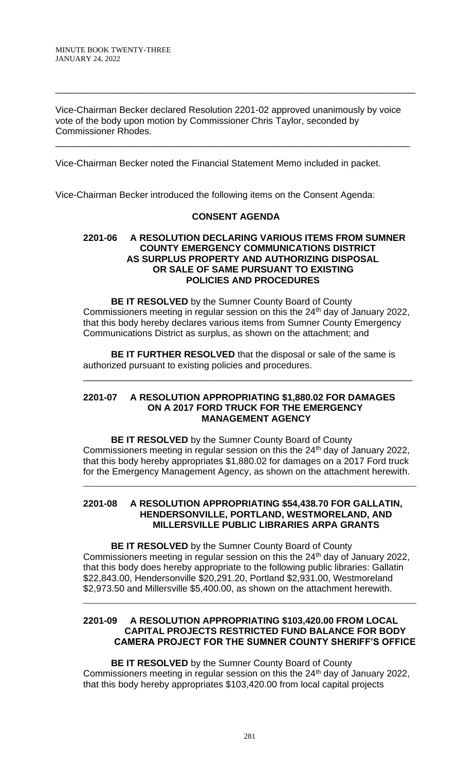Vice-Chairman Becker declared Resolution 2201-02 approved unanimously by voice vote of the body upon motion by Commissioner Chris Taylor, seconded by Commissioner Rhodes.

\_\_\_\_\_\_\_\_\_\_\_\_\_\_\_\_\_\_\_\_\_\_\_\_\_\_\_\_\_\_\_\_\_\_\_\_\_\_\_\_\_\_\_\_\_\_\_\_\_\_\_\_\_\_\_\_\_\_\_\_\_\_\_\_\_\_\_\_\_

\_\_\_\_\_\_\_\_\_\_\_\_\_\_\_\_\_\_\_\_\_\_\_\_\_\_\_\_\_\_\_\_\_\_\_\_\_\_\_\_\_\_\_\_\_\_\_\_\_\_\_\_\_\_\_\_\_\_\_\_\_\_\_\_\_\_\_\_\_\_

Vice-Chairman Becker noted the Financial Statement Memo included in packet.

Vice-Chairman Becker introduced the following items on the Consent Agenda:

### **CONSENT AGENDA**

#### **2201-06 A RESOLUTION DECLARING VARIOUS ITEMS FROM SUMNER COUNTY EMERGENCY COMMUNICATIONS DISTRICT AS SURPLUS PROPERTY AND AUTHORIZING DISPOSAL OR SALE OF SAME PURSUANT TO EXISTING POLICIES AND PROCEDURES**

**BE IT RESOLVED** by the Sumner County Board of County Commissioners meeting in regular session on this the 24<sup>th</sup> day of January 2022, that this body hereby declares various items from Sumner County Emergency Communications District as surplus, as shown on the attachment; and

**BE IT FURTHER RESOLVED** that the disposal or sale of the same is authorized pursuant to existing policies and procedures. \_\_\_\_\_\_\_\_\_\_\_\_\_\_\_\_\_\_\_\_\_\_\_\_\_\_\_\_\_\_\_\_\_\_\_\_\_\_\_\_\_\_\_\_\_\_\_\_\_\_\_\_\_\_\_\_\_\_\_\_\_\_\_\_

#### **2201-07 A RESOLUTION APPROPRIATING \$1,880.02 FOR DAMAGES ON A 2017 FORD TRUCK FOR THE EMERGENCY MANAGEMENT AGENCY**

**BE IT RESOLVED** by the Sumner County Board of County Commissioners meeting in regular session on this the 24<sup>th</sup> day of January 2022, that this body hereby appropriates \$1,880.02 for damages on a 2017 Ford truck for the Emergency Management Agency, as shown on the attachment herewith.

\_\_\_\_\_\_\_\_\_\_\_\_\_\_\_\_\_\_\_\_\_\_\_\_\_\_\_\_\_\_\_\_\_\_\_\_\_\_\_\_\_\_\_\_\_\_\_\_\_\_\_\_\_\_\_\_\_\_\_\_\_\_\_\_\_\_\_\_\_\_\_\_

## **2201-08 A RESOLUTION APPROPRIATING \$54,438.70 FOR GALLATIN, HENDERSONVILLE, PORTLAND, WESTMORELAND, AND MILLERSVILLE PUBLIC LIBRARIES ARPA GRANTS**

**BE IT RESOLVED** by the Sumner County Board of County Commissioners meeting in regular session on this the  $24<sup>th</sup>$  day of January 2022, that this body does hereby appropriate to the following public libraries: Gallatin \$22,843.00, Hendersonville \$20,291.20, Portland \$2,931.00, Westmoreland \$2,973.50 and Millersville \$5,400.00, as shown on the attachment herewith.

## **2201-09 A RESOLUTION APPROPRIATING \$103,420.00 FROM LOCAL CAPITAL PROJECTS RESTRICTED FUND BALANCE FOR BODY CAMERA PROJECT FOR THE SUMNER COUNTY SHERIFF'S OFFICE**

\_\_\_\_\_\_\_\_\_\_\_\_\_\_\_\_\_\_\_\_\_\_\_\_\_\_\_\_\_\_\_\_\_\_\_\_\_\_\_\_\_\_\_\_\_\_\_\_\_\_\_\_\_\_\_\_\_\_\_\_\_\_\_\_\_\_\_\_\_\_\_\_

**BE IT RESOLVED** by the Sumner County Board of County Commissioners meeting in regular session on this the 24<sup>th</sup> day of January 2022, that this body hereby appropriates \$103,420.00 from local capital projects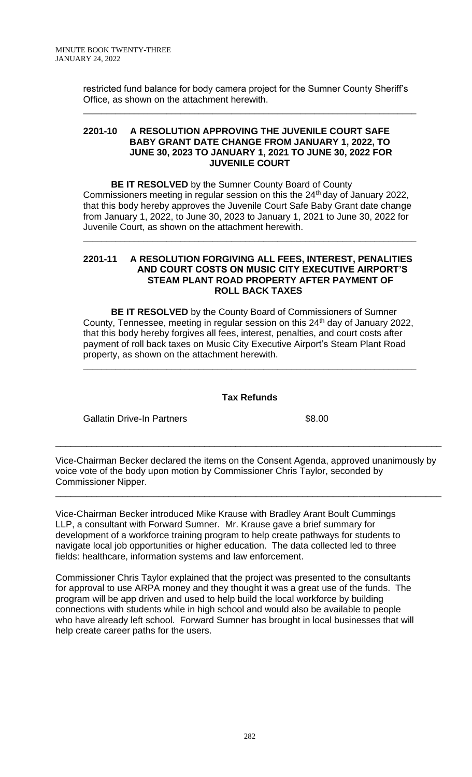restricted fund balance for body camera project for the Sumner County Sheriff's Office, as shown on the attachment herewith.

\_\_\_\_\_\_\_\_\_\_\_\_\_\_\_\_\_\_\_\_\_\_\_\_\_\_\_\_\_\_\_\_\_\_\_\_\_\_\_\_\_\_\_\_\_\_\_\_\_\_\_\_\_\_\_\_\_\_\_\_\_\_\_\_\_\_\_\_\_\_\_\_

#### **2201-10 A RESOLUTION APPROVING THE JUVENILE COURT SAFE BABY GRANT DATE CHANGE FROM JANUARY 1, 2022, TO JUNE 30, 2023 TO JANUARY 1, 2021 TO JUNE 30, 2022 FOR JUVENILE COURT**

**BE IT RESOLVED** by the Sumner County Board of County Commissioners meeting in regular session on this the 24<sup>th</sup> day of January 2022, that this body hereby approves the Juvenile Court Safe Baby Grant date change from January 1, 2022, to June 30, 2023 to January 1, 2021 to June 30, 2022 for Juvenile Court, as shown on the attachment herewith.

\_\_\_\_\_\_\_\_\_\_\_\_\_\_\_\_\_\_\_\_\_\_\_\_\_\_\_\_\_\_\_\_\_\_\_\_\_\_\_\_\_\_\_\_\_\_\_\_\_\_\_\_\_\_\_\_\_\_\_\_\_\_\_\_\_\_\_\_\_\_\_\_

### **2201-11 A RESOLUTION FORGIVING ALL FEES, INTEREST, PENALITIES AND COURT COSTS ON MUSIC CITY EXECUTIVE AIRPORT'S STEAM PLANT ROAD PROPERTY AFTER PAYMENT OF ROLL BACK TAXES**

**BE IT RESOLVED** by the County Board of Commissioners of Sumner County, Tennessee, meeting in regular session on this 24<sup>th</sup> day of January 2022, that this body hereby forgives all fees, interest, penalties, and court costs after payment of roll back taxes on Music City Executive Airport's Steam Plant Road property, as shown on the attachment herewith.

\_\_\_\_\_\_\_\_\_\_\_\_\_\_\_\_\_\_\_\_\_\_\_\_\_\_\_\_\_\_\_\_\_\_\_\_\_\_\_\_\_\_\_\_\_\_\_\_\_\_\_\_\_\_\_\_\_\_\_\_\_\_\_\_\_\_\_\_\_\_\_\_

# **Tax Refunds**

Gallatin Drive-In Partners \$8.00

Vice-Chairman Becker declared the items on the Consent Agenda, approved unanimously by voice vote of the body upon motion by Commissioner Chris Taylor, seconded by Commissioner Nipper.

\_\_\_\_\_\_\_\_\_\_\_\_\_\_\_\_\_\_\_\_\_\_\_\_\_\_\_\_\_\_\_\_\_\_\_\_\_\_\_\_\_\_\_\_\_\_\_\_\_\_\_\_\_\_\_\_\_\_\_\_\_\_\_\_\_\_\_\_\_\_\_\_\_\_\_

\_\_\_\_\_\_\_\_\_\_\_\_\_\_\_\_\_\_\_\_\_\_\_\_\_\_\_\_\_\_\_\_\_\_\_\_\_\_\_\_\_\_\_\_\_\_\_\_\_\_\_\_\_\_\_\_\_\_\_\_\_\_\_\_\_\_\_\_\_\_\_\_\_\_\_

Vice-Chairman Becker introduced Mike Krause with Bradley Arant Boult Cummings LLP, a consultant with Forward Sumner. Mr. Krause gave a brief summary for development of a workforce training program to help create pathways for students to navigate local job opportunities or higher education. The data collected led to three fields: healthcare, information systems and law enforcement.

Commissioner Chris Taylor explained that the project was presented to the consultants for approval to use ARPA money and they thought it was a great use of the funds. The program will be app driven and used to help build the local workforce by building connections with students while in high school and would also be available to people who have already left school. Forward Sumner has brought in local businesses that will help create career paths for the users.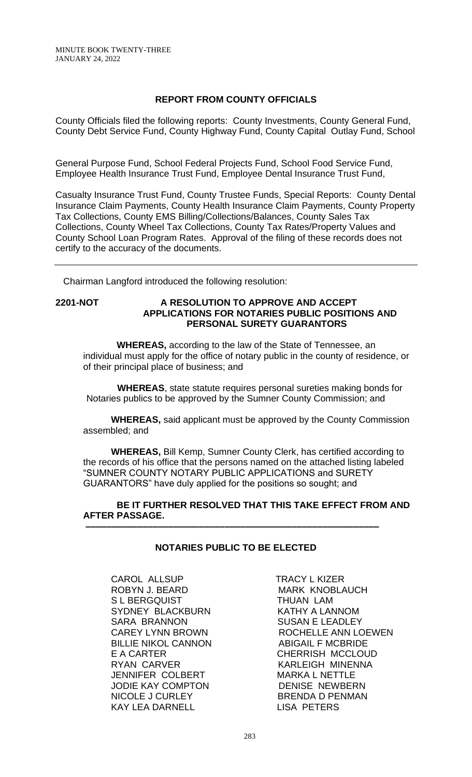## **REPORT FROM COUNTY OFFICIALS**

County Officials filed the following reports: County Investments, County General Fund, County Debt Service Fund, County Highway Fund, County Capital Outlay Fund, School

General Purpose Fund, School Federal Projects Fund, School Food Service Fund, Employee Health Insurance Trust Fund, Employee Dental Insurance Trust Fund,

Casualty Insurance Trust Fund, County Trustee Funds, Special Reports: County Dental Insurance Claim Payments, County Health Insurance Claim Payments, County Property Tax Collections, County EMS Billing/Collections/Balances, County Sales Tax Collections, County Wheel Tax Collections, County Tax Rates/Property Values and County School Loan Program Rates. Approval of the filing of these records does not certify to the accuracy of the documents.

Chairman Langford introduced the following resolution:

## **2201-NOT A RESOLUTION TO APPROVE AND ACCEPT APPLICATIONS FOR NOTARIES PUBLIC POSITIONS AND PERSONAL SURETY GUARANTORS**

 **WHEREAS,** according to the law of the State of Tennessee, an individual must apply for the office of notary public in the county of residence, or of their principal place of business; and

 **WHEREAS**, state statute requires personal sureties making bonds for Notaries publics to be approved by the Sumner County Commission; and

**WHEREAS,** said applicant must be approved by the County Commission assembled; and

**WHEREAS,** Bill Kemp, Sumner County Clerk, has certified according to the records of his office that the persons named on the attached listing labeled "SUMNER COUNTY NOTARY PUBLIC APPLICATIONS and SURETY GUARANTORS" have duly applied for the positions so sought; and

 **BE IT FURTHER RESOLVED THAT THIS TAKE EFFECT FROM AND AFTER PASSAGE.**

# **NOTARIES PUBLIC TO BE ELECTED**

 **–––––––––––––––––––––––––––––––––––––––––––––––––––––––––**

CAROL ALLSUP TRACY L KIZER ROBYN J. BEARD MARK KNOBLAUCH S L BERGQUIST THUAN LAM SYDNEY BLACKBURN KATHY A LANNOM SARA BRANNON SUSAN E LEADLEY BILLIE NIKOL CANNON ABIGAIL F MCBRIDE<br>E A CARTER CHERRISH MCCLOU RYAN CARVER KARLEIGH MINENNA JENNIFER COLBERT MARKA L NETTLE JODIE KAY COMPTON DENISE NEWBERN NICOLE J CURLEY BRENDA D PENMAN KAY LEA DARNELL LISA PETERS

CAREY LYNN BROWN ROCHELLE ANN LOEWEN CHERRISH MCCLOUD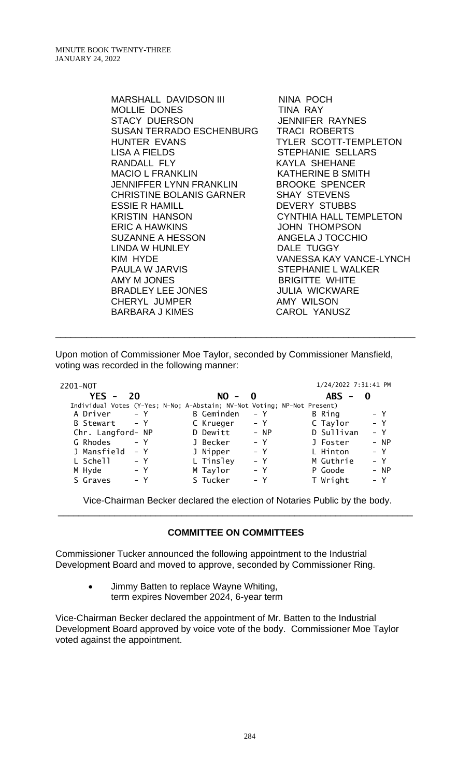| <b>MARSHALL DAVIDSON III</b><br><b>MOLLIE DONES</b> | NINA POCH<br>TINA RAY         |
|-----------------------------------------------------|-------------------------------|
| <b>STACY DUERSON</b>                                | <b>JENNIFER RAYNES</b>        |
| SUSAN TERRADO ESCHENBURG                            | <b>TRACI ROBERTS</b>          |
| HUNTER EVANS                                        | TYLER SCOTT-TEMPLETON         |
| LISA A FIELDS                                       | STEPHANIE SELLARS             |
| RANDALL FLY                                         | <b>KAYLA SHEHANE</b>          |
| <b>MACIO L FRANKLIN</b>                             | <b>KATHERINE B SMITH</b>      |
| JENNIFFER LYNN FRANKLIN                             | <b>BROOKE SPENCER</b>         |
| CHRISTINE BOLANIS GARNER                            | <b>SHAY STEVENS</b>           |
| <b>ESSIE R HAMILL</b>                               | <b>DEVERY STUBBS</b>          |
| <b>KRISTIN HANSON</b>                               | <b>CYNTHIA HALL TEMPLETON</b> |
| <b>ERIC A HAWKINS</b>                               | <b>JOHN THOMPSON</b>          |
| <b>SUZANNE A HESSON</b>                             | ANGELA J TOCCHIO              |
| LINDA W HUNLEY                                      | DALE TUGGY                    |
| KIM HYDE                                            | VANESSA KAY VANCE-LYNCH       |
| <b>PAULA W JARVIS</b>                               | <b>STEPHANIE L WALKER</b>     |
| AMY M JONES                                         | <b>BRIGITTE WHITE</b>         |
| <b>BRADLEY LEE JONES</b>                            | <b>JULIA WICKWARE</b>         |
| <b>CHERYL JUMPER</b>                                | <b>AMY WILSON</b>             |
| <b>BARBARA J KIMES</b>                              | <b>CAROL YANUSZ</b>           |

Upon motion of Commissioner Moe Taylor, seconded by Commissioner Mansfield, voting was recorded in the following manner:

\_\_\_\_\_\_\_\_\_\_\_\_\_\_\_\_\_\_\_\_\_\_\_\_\_\_\_\_\_\_\_\_\_\_\_\_\_\_\_\_\_\_\_\_\_\_\_\_\_\_\_\_\_\_\_\_\_\_\_\_\_\_\_\_\_\_\_\_\_\_

| 2201-NOT          |                                                                          | 1/24/2022 7:31:41 PM |
|-------------------|--------------------------------------------------------------------------|----------------------|
| YES $-$<br>20     | $NO - 0$                                                                 | $ABS -$<br>-0        |
|                   | Individual Votes (Y-Yes; N-No; A-Abstain; NV-Not Voting; NP-Not Present) |                      |
| A Driver          | B Geminden                                                               | B Ring               |
| $- Y$             | – Y                                                                      | – Y                  |
| B Stewart - Y     | – Y<br>C Krueger                                                         | $- Y$<br>C Taylor    |
| Chr. Langford- NP | D Dewitt<br>$- NP$                                                       | D Sullivan<br>$- Y$  |
| G Rhodes          | J Becker                                                                 | J Foster             |
| $- Y$             | – Y                                                                      | - NP                 |
| J Mansfield       | J Nipper                                                                 | L Hinton             |
| – Y               | $- Y$                                                                    | $- Y$                |
| L Schell          | L Tinsley                                                                | M Guthrie            |
| – Y               | $- Y$                                                                    | $- Y$                |
| M Hyde            | M Taylor                                                                 | P Goode              |
| – Y               | $- Y$                                                                    | - NP                 |
| S Graves          | S Tucker                                                                 | T Wright             |
| – Y               | – Y                                                                      | – Y                  |

Vice-Chairman Becker declared the election of Notaries Public by the body. \_\_\_\_\_\_\_\_\_\_\_\_\_\_\_\_\_\_\_\_\_\_\_\_\_\_\_\_\_\_\_\_\_\_\_\_\_\_\_\_\_\_\_\_\_\_\_\_\_\_\_\_\_\_\_\_\_\_\_\_\_\_\_\_\_\_\_\_\_

# **COMMITTEE ON COMMITTEES**

Commissioner Tucker announced the following appointment to the Industrial Development Board and moved to approve, seconded by Commissioner Ring.

> • Jimmy Batten to replace Wayne Whiting, term expires November 2024, 6-year term

Vice-Chairman Becker declared the appointment of Mr. Batten to the Industrial Development Board approved by voice vote of the body. Commissioner Moe Taylor voted against the appointment.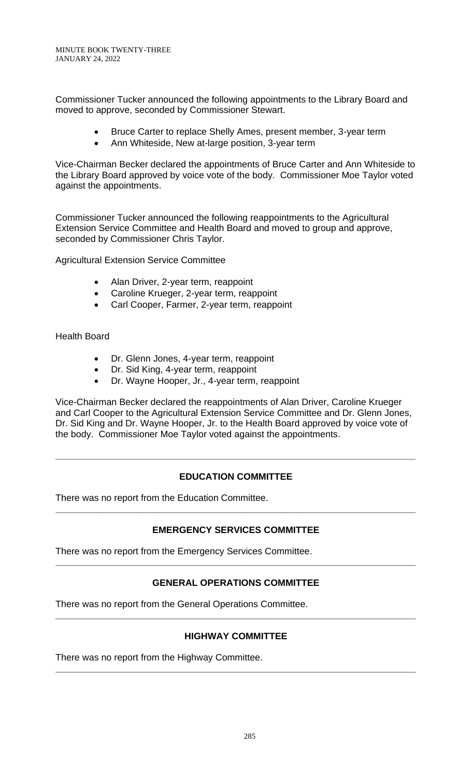Commissioner Tucker announced the following appointments to the Library Board and moved to approve, seconded by Commissioner Stewart.

- Bruce Carter to replace Shelly Ames, present member, 3-year term
- Ann Whiteside, New at-large position, 3-year term

Vice-Chairman Becker declared the appointments of Bruce Carter and Ann Whiteside to the Library Board approved by voice vote of the body. Commissioner Moe Taylor voted against the appointments.

Commissioner Tucker announced the following reappointments to the Agricultural Extension Service Committee and Health Board and moved to group and approve, seconded by Commissioner Chris Taylor.

Agricultural Extension Service Committee

- Alan Driver, 2-year term, reappoint
- Caroline Krueger, 2-year term, reappoint
- Carl Cooper, Farmer, 2-year term, reappoint

Health Board

- Dr. Glenn Jones, 4-year term, reappoint
- Dr. Sid King, 4-year term, reappoint
- Dr. Wayne Hooper, Jr., 4-year term, reappoint

Vice-Chairman Becker declared the reappointments of Alan Driver, Caroline Krueger and Carl Cooper to the Agricultural Extension Service Committee and Dr. Glenn Jones, Dr. Sid King and Dr. Wayne Hooper, Jr. to the Health Board approved by voice vote of the body. Commissioner Moe Taylor voted against the appointments.

# **EDUCATION COMMITTEE**

**\_\_\_\_\_\_\_\_\_\_\_\_\_\_\_\_\_\_\_\_\_\_\_\_\_\_\_\_\_\_\_\_\_\_\_\_\_\_\_\_\_\_\_\_\_\_\_\_\_\_\_\_\_\_\_\_\_\_\_\_\_\_\_\_\_\_\_\_\_\_**

There was no report from the Education Committee.

# **EMERGENCY SERVICES COMMITTEE**

**\_\_\_\_\_\_\_\_\_\_\_\_\_\_\_\_\_\_\_\_\_\_\_\_\_\_\_\_\_\_\_\_\_\_\_\_\_\_\_\_\_\_\_\_\_\_\_\_\_\_\_\_\_\_\_\_\_\_\_\_\_\_\_\_\_\_\_\_\_\_**

There was no report from the Emergency Services Committee.

# **GENERAL OPERATIONS COMMITTEE**

**\_\_\_\_\_\_\_\_\_\_\_\_\_\_\_\_\_\_\_\_\_\_\_\_\_\_\_\_\_\_\_\_\_\_\_\_\_\_\_\_\_\_\_\_\_\_\_\_\_\_\_\_\_\_\_\_\_\_\_\_\_\_\_\_\_\_\_\_\_\_**

There was no report from the General Operations Committee.

# **HIGHWAY COMMITTEE**

**\_\_\_\_\_\_\_\_\_\_\_\_\_\_\_\_\_\_\_\_\_\_\_\_\_\_\_\_\_\_\_\_\_\_\_\_\_\_\_\_\_\_\_\_\_\_\_\_\_\_\_\_\_\_\_\_\_\_\_\_\_\_\_\_\_\_\_\_\_\_**

**\_\_\_\_\_\_\_\_\_\_\_\_\_\_\_\_\_\_\_\_\_\_\_\_\_\_\_\_\_\_\_\_\_\_\_\_\_\_\_\_\_\_\_\_\_\_\_\_\_\_\_\_\_\_\_\_\_\_\_\_\_\_\_\_\_\_\_\_\_\_**

There was no report from the Highway Committee.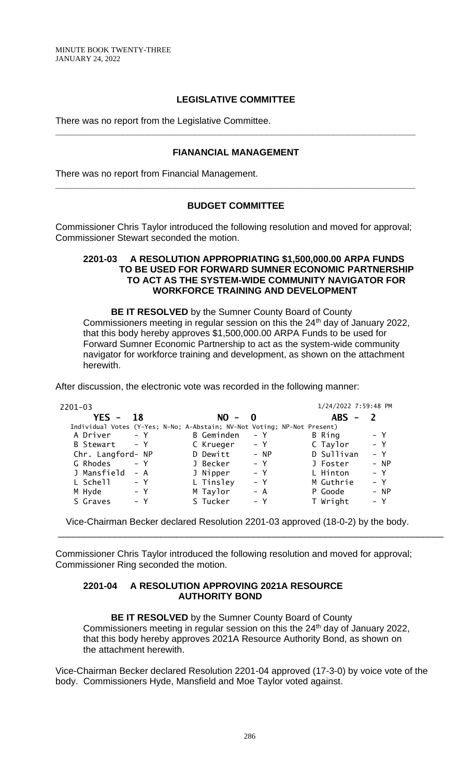## **LEGISLATIVE COMMITTEE**

There was no report from the Legislative Committee.

### **FIANANCIAL MANAGEMENT**

**\_\_\_\_\_\_\_\_\_\_\_\_\_\_\_\_\_\_\_\_\_\_\_\_\_\_\_\_\_\_\_\_\_\_\_\_\_\_\_\_\_\_\_\_\_\_\_\_\_\_\_\_\_\_\_\_\_\_\_\_\_\_\_\_\_\_\_\_\_\_**

There was no report from Financial Management.

### **BUDGET COMMITTEE**

**\_\_\_\_\_\_\_\_\_\_\_\_\_\_\_\_\_\_\_\_\_\_\_\_\_\_\_\_\_\_\_\_\_\_\_\_\_\_\_\_\_\_\_\_\_\_\_\_\_\_\_\_\_\_\_\_\_\_\_\_\_\_\_\_\_\_\_\_\_\_**

Commissioner Chris Taylor introduced the following resolution and moved for approval; Commissioner Stewart seconded the motion.

#### **2201-03 A RESOLUTION APPROPRIATING \$1,500,000.00 ARPA FUNDS TO BE USED FOR FORWARD SUMNER ECONOMIC PARTNERSHIP TO ACT AS THE SYSTEM-WIDE COMMUNITY NAVIGATOR FOR WORKFORCE TRAINING AND DEVELOPMENT**

**BE IT RESOLVED** by the Sumner County Board of County Commissioners meeting in regular session on this the 24<sup>th</sup> day of January 2022, that this body hereby approves \$1,500,000.00 ARPA Funds to be used for Forward Sumner Economic Partnership to act as the system-wide community navigator for workforce training and development, as shown on the attachment herewith.

After discussion, the electronic vote was recorded in the following manner:

| $2201 - 03$       |                                                                          | 1/24/2022 7:59:48 PM |
|-------------------|--------------------------------------------------------------------------|----------------------|
| $YES -$           | $NO -$                                                                   | $ABS -$              |
| 18                | $\mathbf{0}$                                                             | $\mathcal{L}$        |
|                   | Individual Votes (Y-Yes; N-No; A-Abstain; NV-Not Voting; NP-Not Present) |                      |
| A Driver          | B Geminden                                                               | B Ring               |
| – Y               | – Y                                                                      | – Y                  |
| <b>B</b> Stewart  | C Krueger                                                                | $- Y$                |
| – Y               | – Y                                                                      | C Taylor             |
| Chr. Langford- NP | D Dewitt<br>- NP                                                         | D Sullivan<br>$- Y$  |
| G Rhodes          | J Becker                                                                 | - NP                 |
| $- Y$             | $- Y$                                                                    | J Foster             |
| J Mansfield       | J Nipper                                                                 | L Hinton             |
| – A               | $- Y$                                                                    | $- Y$                |
| L Schell          | L Tinsley                                                                | M Guthrie            |
| – Y               | $- Y$                                                                    | $- Y$                |
| M Hyde            | M Taylor                                                                 | P Goode              |
| – Y               | – A                                                                      | - NP                 |
| S Graves          | S Tucker                                                                 | T Wright             |
| – Y               | – Y                                                                      | – Y                  |

Vice-Chairman Becker declared Resolution 2201-03 approved (18-0-2) by the body.

\_\_\_\_\_\_\_\_\_\_\_\_\_\_\_\_\_\_\_\_\_\_\_\_\_\_\_\_\_\_\_\_\_\_\_\_\_\_\_\_\_\_\_\_\_\_\_\_\_\_\_\_\_\_\_\_\_\_\_\_\_\_\_\_\_\_\_\_\_\_\_\_\_\_\_

Commissioner Chris Taylor introduced the following resolution and moved for approval; Commissioner Ring seconded the motion.

#### **2201-04 A RESOLUTION APPROVING 2021A RESOURCE AUTHORITY BOND**

**BE IT RESOLVED** by the Sumner County Board of County Commissioners meeting in regular session on this the 24<sup>th</sup> day of January 2022, that this body hereby approves 2021A Resource Authority Bond, as shown on the attachment herewith.

Vice-Chairman Becker declared Resolution 2201-04 approved (17-3-0) by voice vote of the body. Commissioners Hyde, Mansfield and Moe Taylor voted against.